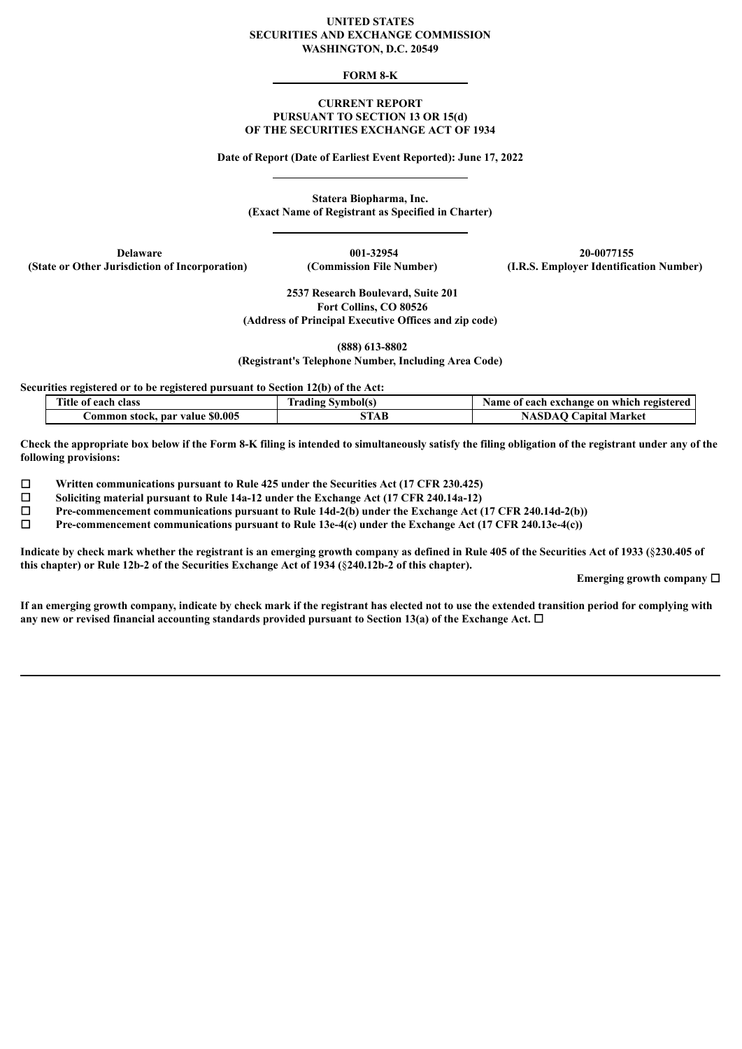#### **UNITED STATES SECURITIES AND EXCHANGE COMMISSION WASHINGTON, D.C. 20549**

### **FORM 8-K**

#### **CURRENT REPORT PURSUANT TO SECTION 13 OR 15(d) OF THE SECURITIES EXCHANGE ACT OF 1934**

**Date of Report (Date of Earliest Event Reported): June 17, 2022**

**Statera Biopharma, Inc. (Exact Name of Registrant as Specified in Charter)**

**(State or Other Jurisdiction of Incorporation) (Commission File Number) (I.R.S. Employer Identification Number)**

**Delaware 001-32954 20-0077155**

**2537 Research Boulevard, Suite 201 Fort Collins, CO 80526 (Address of Principal Executive Offices and zip code)**

**(888) 613-8802**

**(Registrant's Telephone Number, Including Area Code)**

**Securities registered or to be registered pursuant to Section 12(b) of the Act:**

| Title of each class             | Irading Symbol(s) | Name of each exchange on which registered |
|---------------------------------|-------------------|-------------------------------------------|
| Common stock, par value \$0.005 | 5TAB              | <b>NASDAO Capital Market</b>              |

Check the appropriate box below if the Form 8-K filing is intended to simultaneously satisfy the filing obligation of the registrant under any of the **following provisions:**

☐ **Written communications pursuant to Rule 425 under the Securities Act (17 CFR 230.425)**

☐ **Soliciting material pursuant to Rule 14a-12 under the Exchange Act (17 CFR 240.14a-12)**

☐ **Pre-commencement communications pursuant to Rule 14d-2(b) under the Exchange Act (17 CFR 240.14d-2(b))**

☐ **Pre-commencement communications pursuant to Rule 13e-4(c) under the Exchange Act (17 CFR 240.13e-4(c))**

Indicate by check mark whether the registrant is an emerging growth company as defined in Rule 405 of the Securities Act of 1933 (§230.405 of **this chapter) or Rule 12b-2 of the Securities Exchange Act of 1934 (**§**240.12b-2 of this chapter).**

**Emerging growth company** ☐

If an emerging growth company, indicate by check mark if the registrant has elected not to use the extended transition period for complying with **any new or revised financial accounting standards provided pursuant to Section 13(a) of the Exchange Act.** ☐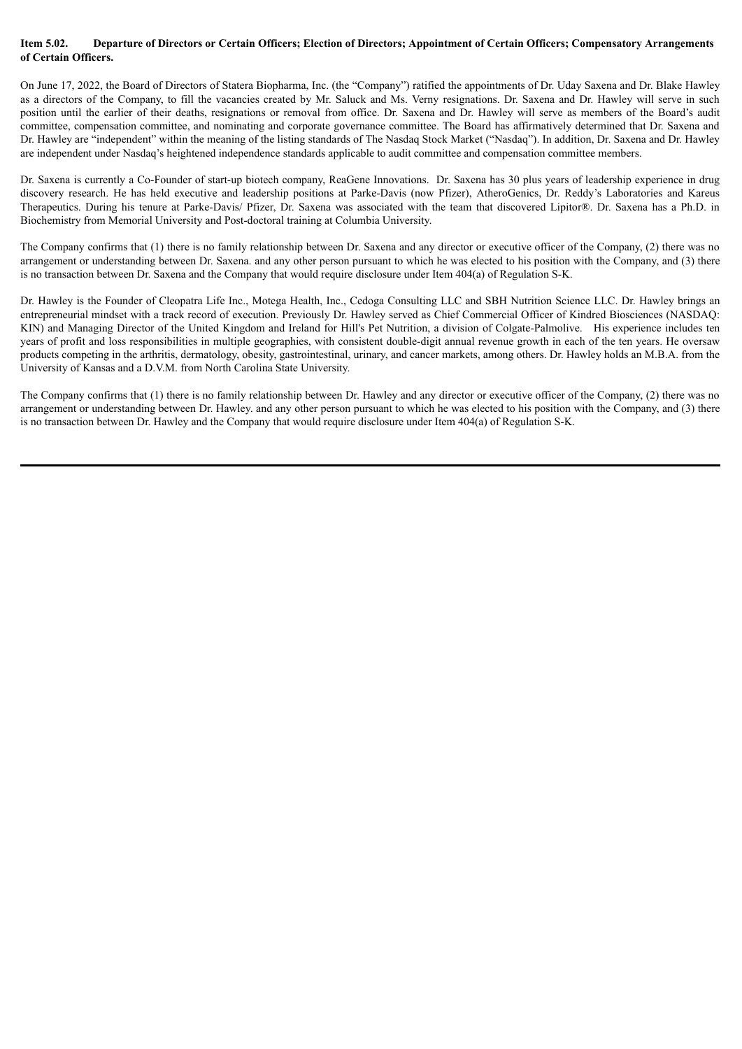#### Item 5.02. Departure of Directors or Certain Officers; Election of Directors; Appointment of Certain Officers; Compensatory Arrangements **of Certain Officers.**

On June 17, 2022, the Board of Directors of Statera Biopharma, Inc. (the "Company") ratified the appointments of Dr. Uday Saxena and Dr. Blake Hawley as a directors of the Company, to fill the vacancies created by Mr. Saluck and Ms. Verny resignations. Dr. Saxena and Dr. Hawley will serve in such position until the earlier of their deaths, resignations or removal from office. Dr. Saxena and Dr. Hawley will serve as members of the Board's audit committee, compensation committee, and nominating and corporate governance committee. The Board has affirmatively determined that Dr. Saxena and Dr. Hawley are "independent" within the meaning of the listing standards of The Nasdaq Stock Market ("Nasdaq"). In addition, Dr. Saxena and Dr. Hawley are independent under Nasdaq's heightened independence standards applicable to audit committee and compensation committee members.

Dr. Saxena is currently a Co-Founder of start-up biotech company, ReaGene Innovations. Dr. Saxena has 30 plus years of leadership experience in drug discovery research. He has held executive and leadership positions at Parke-Davis (now Pfizer), AtheroGenics, Dr. Reddy's Laboratories and Kareus Therapeutics. During his tenure at Parke-Davis/ Pfizer, Dr. Saxena was associated with the team that discovered Lipitor®. Dr. Saxena has a Ph.D. in Biochemistry from Memorial University and Post-doctoral training at Columbia University.

The Company confirms that (1) there is no family relationship between Dr. Saxena and any director or executive officer of the Company, (2) there was no arrangement or understanding between Dr. Saxena. and any other person pursuant to which he was elected to his position with the Company, and (3) there is no transaction between Dr. Saxena and the Company that would require disclosure under Item 404(a) of Regulation S-K.

Dr. Hawley is the Founder of Cleopatra Life Inc., Motega Health, Inc., Cedoga Consulting LLC and SBH Nutrition Science LLC. Dr. Hawley brings an entrepreneurial mindset with a track record of execution. Previously Dr. Hawley served as Chief Commercial Officer of Kindred Biosciences (NASDAQ: KIN) and Managing Director of the United Kingdom and Ireland for Hill's Pet Nutrition, a division of Colgate-Palmolive. His experience includes ten years of profit and loss responsibilities in multiple geographies, with consistent double-digit annual revenue growth in each of the ten years. He oversaw products competing in the arthritis, dermatology, obesity, gastrointestinal, urinary, and cancer markets, among others. Dr. Hawley holds an M.B.A. from the University of Kansas and a D.V.M. from North Carolina State University.

The Company confirms that (1) there is no family relationship between Dr. Hawley and any director or executive officer of the Company, (2) there was no arrangement or understanding between Dr. Hawley. and any other person pursuant to which he was elected to his position with the Company, and (3) there is no transaction between Dr. Hawley and the Company that would require disclosure under Item 404(a) of Regulation S-K.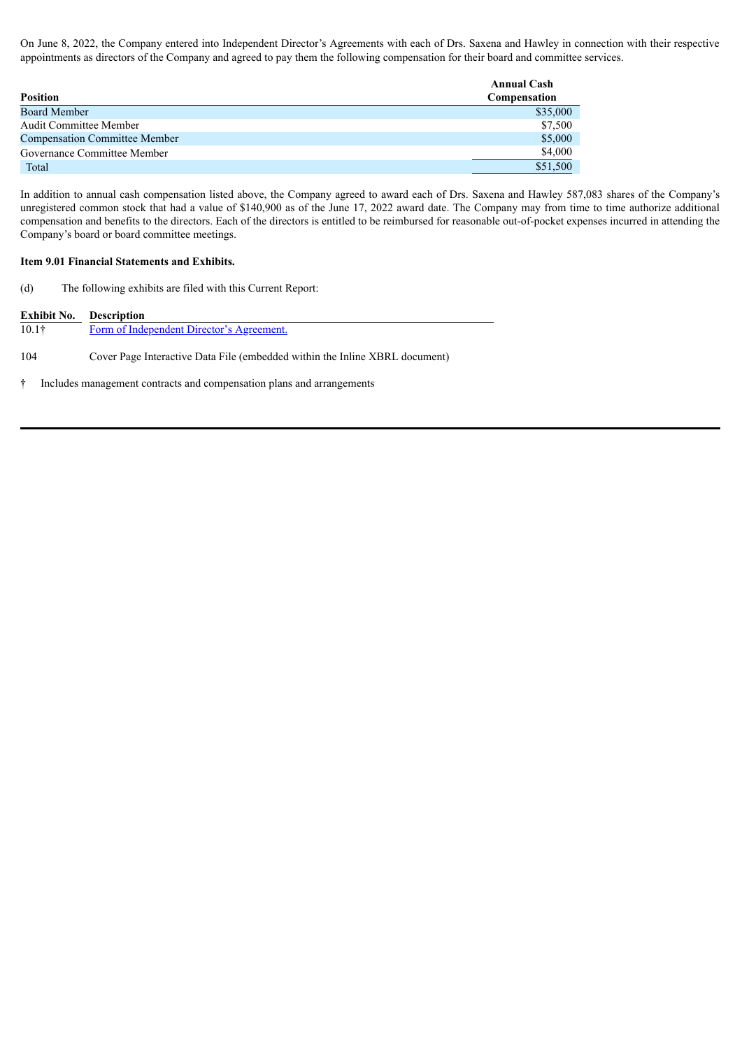On June 8, 2022, the Company entered into Independent Director's Agreements with each of Drs. Saxena and Hawley in connection with their respective appointments as directors of the Company and agreed to pay them the following compensation for their board and committee services.

|                                      | <b>Annual Cash</b> |
|--------------------------------------|--------------------|
| <b>Position</b>                      | Compensation       |
| <b>Board Member</b>                  | \$35,000           |
| <b>Audit Committee Member</b>        | \$7,500            |
| <b>Compensation Committee Member</b> | \$5,000            |
| Governance Committee Member          | \$4,000            |
| Total                                | \$51,500           |

In addition to annual cash compensation listed above, the Company agreed to award each of Drs. Saxena and Hawley 587,083 shares of the Company's unregistered common stock that had a value of \$140,900 as of the June 17, 2022 award date. The Company may from time to time authorize additional compensation and benefits to the directors. Each of the directors is entitled to be reimbursed for reasonable out-of-pocket expenses incurred in attending the Company's board or board committee meetings.

#### **Item 9.01 Financial Statements and Exhibits.**

(d) The following exhibits are filed with this Current Report:

| Exhibit No.       | <b>Description</b>                                                          |  |  |
|-------------------|-----------------------------------------------------------------------------|--|--|
| 10.1 <sup>†</sup> | Form of Independent Director's Agreement.                                   |  |  |
| 104               | Cover Page Interactive Data File (embedded within the Inline XBRL document) |  |  |
|                   | Includes management contracts and compensation plans and arrangements       |  |  |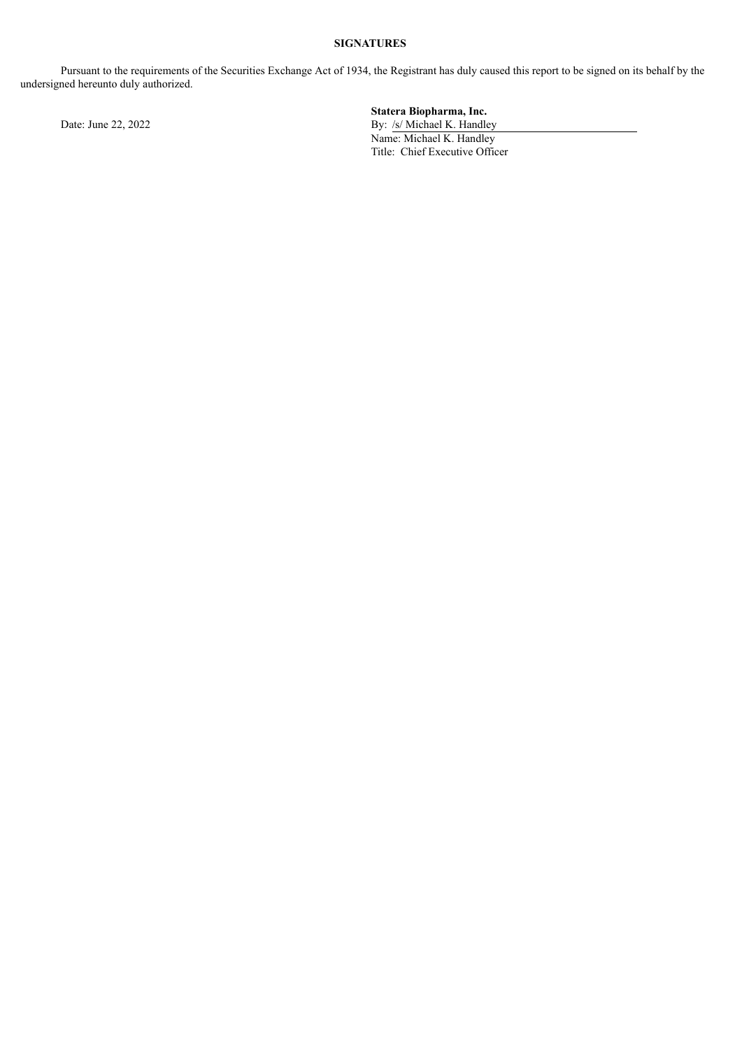# **SIGNATURES**

Pursuant to the requirements of the Securities Exchange Act of 1934, the Registrant has duly caused this report to be signed on its behalf by the undersigned hereunto duly authorized.

**Statera Biopharma, Inc.** Date: June 22, 2022 **By:** /s/ Michael K. Handley Name: Michael K. Handley Title: Chief Executive Officer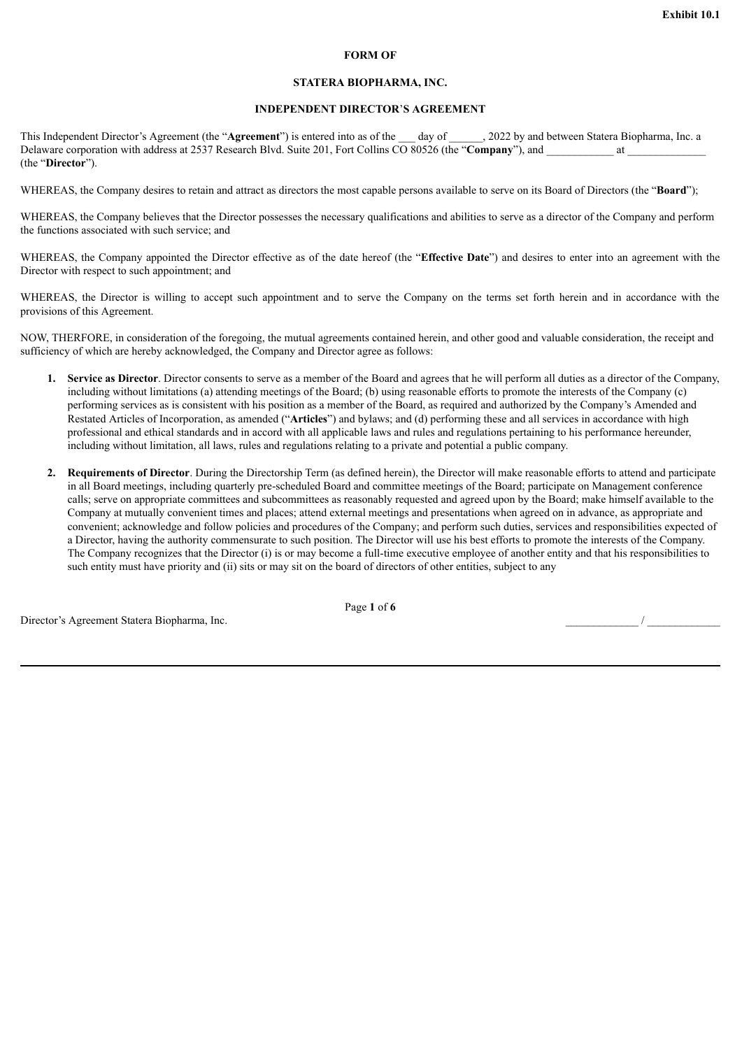#### **FORM OF**

#### **STATERA BIOPHARMA, INC.**

## **INDEPENDENT DIRECTOR**'**S AGREEMENT**

<span id="page-4-0"></span>This Independent Director's Agreement (the "Agreement") is entered into as of the day of . 2022 by and between Statera Biopharma, Inc. a Delaware corporation with address at 2537 Research Blvd. Suite 201, Fort Collins CO 80526 (the "**Company**"), and \_\_\_\_\_\_\_\_\_\_\_\_ at \_\_\_\_\_\_\_\_\_\_\_\_\_\_ (the "**Director**").

WHEREAS, the Company desires to retain and attract as directors the most capable persons available to serve on its Board of Directors (the "**Board**");

WHEREAS, the Company believes that the Director possesses the necessary qualifications and abilities to serve as a director of the Company and perform the functions associated with such service; and

WHEREAS, the Company appointed the Director effective as of the date hereof (the "**Effective Date**") and desires to enter into an agreement with the Director with respect to such appointment; and

WHEREAS, the Director is willing to accept such appointment and to serve the Company on the terms set forth herein and in accordance with the provisions of this Agreement.

NOW, THERFORE, in consideration of the foregoing, the mutual agreements contained herein, and other good and valuable consideration, the receipt and sufficiency of which are hereby acknowledged, the Company and Director agree as follows:

- **1. Service as Director**. Director consents to serve as a member of the Board and agrees that he will perform all duties as a director of the Company, including without limitations (a) attending meetings of the Board; (b) using reasonable efforts to promote the interests of the Company (c) performing services as is consistent with his position as a member of the Board, as required and authorized by the Company's Amended and Restated Articles of Incorporation, as amended ("**Articles**") and bylaws; and (d) performing these and all services in accordance with high professional and ethical standards and in accord with all applicable laws and rules and regulations pertaining to his performance hereunder, including without limitation, all laws, rules and regulations relating to a private and potential a public company.
- **2. Requirements of Director**. During the Directorship Term (as defined herein), the Director will make reasonable efforts to attend and participate in all Board meetings, including quarterly pre-scheduled Board and committee meetings of the Board; participate on Management conference calls; serve on appropriate committees and subcommittees as reasonably requested and agreed upon by the Board; make himself available to the Company at mutually convenient times and places; attend external meetings and presentations when agreed on in advance, as appropriate and convenient; acknowledge and follow policies and procedures of the Company; and perform such duties, services and responsibilities expected of a Director, having the authority commensurate to such position. The Director will use his best efforts to promote the interests of the Company. The Company recognizes that the Director (i) is or may become a full-time executive employee of another entity and that his responsibilities to such entity must have priority and (ii) sits or may sit on the board of directors of other entities, subject to any

Page **1** of **6**

Director's Agreement Statera Biopharma, Inc.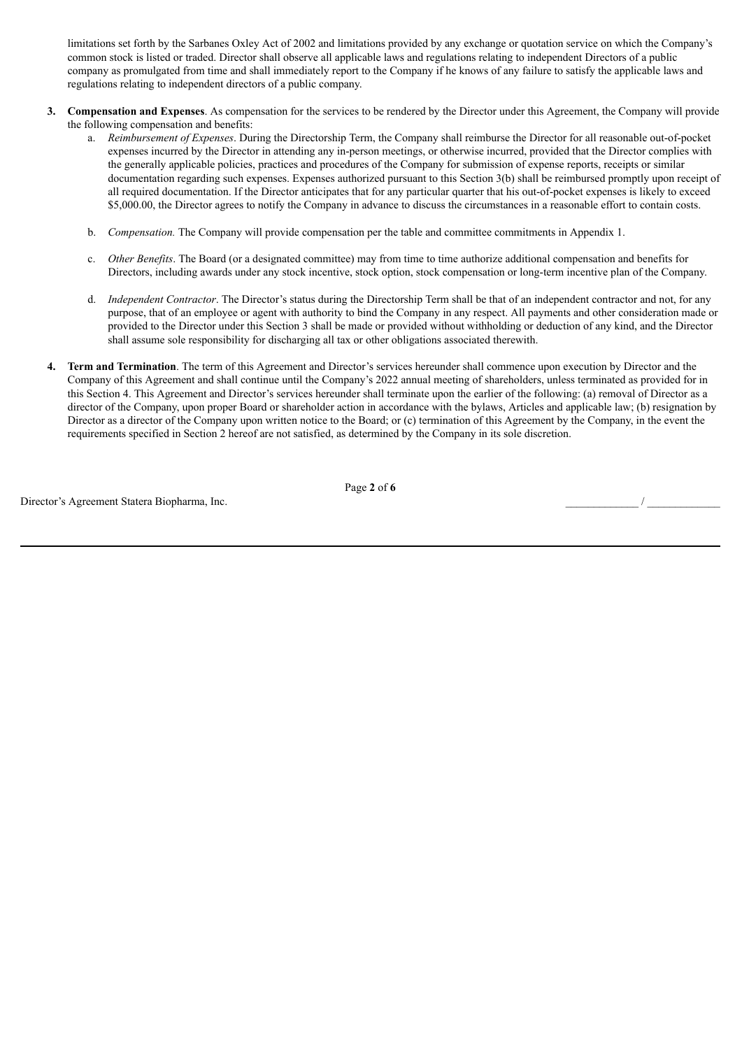limitations set forth by the Sarbanes Oxley Act of 2002 and limitations provided by any exchange or quotation service on which the Company's common stock is listed or traded. Director shall observe all applicable laws and regulations relating to independent Directors of a public company as promulgated from time and shall immediately report to the Company if he knows of any failure to satisfy the applicable laws and regulations relating to independent directors of a public company.

- **3. Compensation and Expenses**. As compensation for the services to be rendered by the Director under this Agreement, the Company will provide the following compensation and benefits:
	- a. *Reimbursement of Expenses*. During the Directorship Term, the Company shall reimburse the Director for all reasonable out-of-pocket expenses incurred by the Director in attending any in-person meetings, or otherwise incurred, provided that the Director complies with the generally applicable policies, practices and procedures of the Company for submission of expense reports, receipts or similar documentation regarding such expenses. Expenses authorized pursuant to this Section 3(b) shall be reimbursed promptly upon receipt of all required documentation. If the Director anticipates that for any particular quarter that his out-of-pocket expenses is likely to exceed \$5,000.00, the Director agrees to notify the Company in advance to discuss the circumstances in a reasonable effort to contain costs.
	- b. *Compensation*. The Company will provide compensation per the table and committee commitments in Appendix 1.
	- c. *Other Benefits*. The Board (or a designated committee) may from time to time authorize additional compensation and benefits for Directors, including awards under any stock incentive, stock option, stock compensation or long-term incentive plan of the Company.
	- d. *Independent Contractor*. The Director's status during the Directorship Term shall be that of an independent contractor and not, for any purpose, that of an employee or agent with authority to bind the Company in any respect. All payments and other consideration made or provided to the Director under this Section 3 shall be made or provided without withholding or deduction of any kind, and the Director shall assume sole responsibility for discharging all tax or other obligations associated therewith.
- **4. Term and Termination**. The term of this Agreement and Director's services hereunder shall commence upon execution by Director and the Company of this Agreement and shall continue until the Company's 2022 annual meeting of shareholders, unless terminated as provided for in this Section 4. This Agreement and Director's services hereunder shall terminate upon the earlier of the following: (a) removal of Director as a director of the Company, upon proper Board or shareholder action in accordance with the bylaws, Articles and applicable law; (b) resignation by Director as a director of the Company upon written notice to the Board; or (c) termination of this Agreement by the Company, in the event the requirements specified in Section 2 hereof are not satisfied, as determined by the Company in its sole discretion.

Director's Agreement Statera Biopharma, Inc. \_\_\_\_\_\_\_\_\_\_\_\_\_ / \_\_\_\_\_\_\_\_\_\_\_\_\_

Page **2** of **6**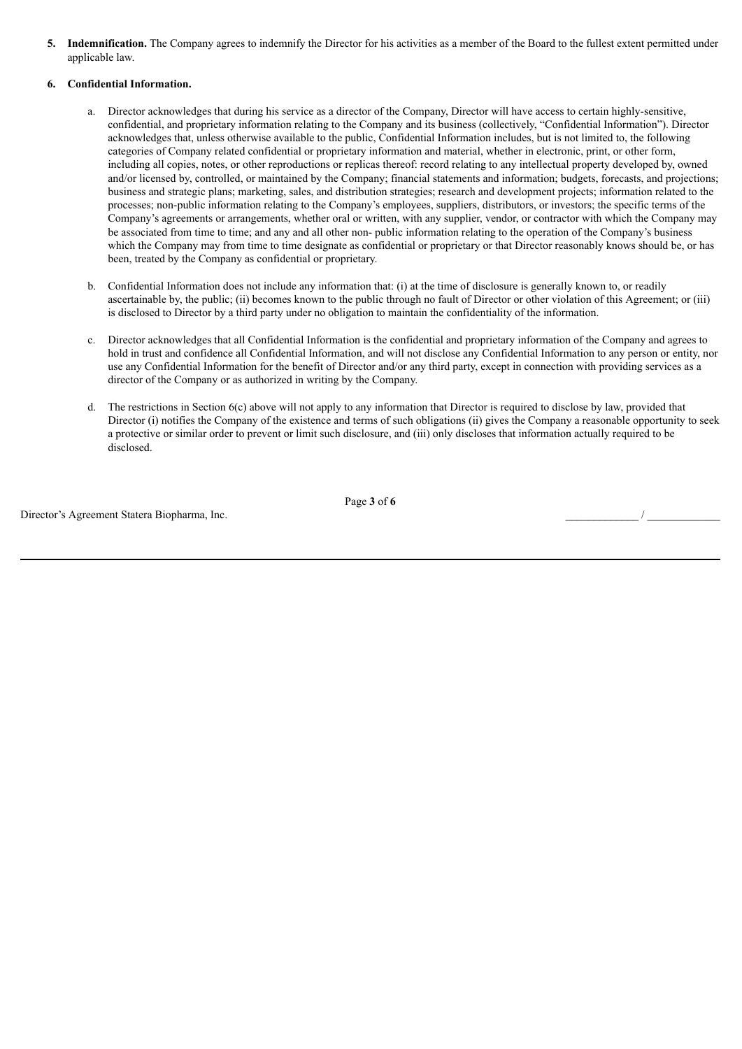**5. Indemnification.** The Company agrees to indemnify the Director for his activities as a member of the Board to the fullest extent permitted under applicable law.

## **6. Confidential Information.**

- Director acknowledges that during his service as a director of the Company, Director will have access to certain highly-sensitive, confidential, and proprietary information relating to the Company and its business (collectively, "Confidential Information"). Director acknowledges that, unless otherwise available to the public, Confidential Information includes, but is not limited to, the following categories of Company related confidential or proprietary information and material, whether in electronic, print, or other form, including all copies, notes, or other reproductions or replicas thereof: record relating to any intellectual property developed by, owned and/or licensed by, controlled, or maintained by the Company; financial statements and information; budgets, forecasts, and projections; business and strategic plans; marketing, sales, and distribution strategies; research and development projects; information related to the processes; non-public information relating to the Company's employees, suppliers, distributors, or investors; the specific terms of the Company's agreements or arrangements, whether oral or written, with any supplier, vendor, or contractor with which the Company may be associated from time to time; and any and all other non- public information relating to the operation of the Company's business which the Company may from time to time designate as confidential or proprietary or that Director reasonably knows should be, or has been, treated by the Company as confidential or proprietary.
- b. Confidential Information does not include any information that: (i) at the time of disclosure is generally known to, or readily ascertainable by, the public; (ii) becomes known to the public through no fault of Director or other violation of this Agreement; or (iii) is disclosed to Director by a third party under no obligation to maintain the confidentiality of the information.
- c. Director acknowledges that all Confidential Information is the confidential and proprietary information of the Company and agrees to hold in trust and confidence all Confidential Information, and will not disclose any Confidential Information to any person or entity, nor use any Confidential Information for the benefit of Director and/or any third party, except in connection with providing services as a director of the Company or as authorized in writing by the Company.
- d. The restrictions in Section 6(c) above will not apply to any information that Director is required to disclose by law, provided that Director (i) notifies the Company of the existence and terms of such obligations (ii) gives the Company a reasonable opportunity to seek a protective or similar order to prevent or limit such disclosure, and (iii) only discloses that information actually required to be disclosed.

Director's Agreement Statera Biopharma, Inc.

Page **3** of **6**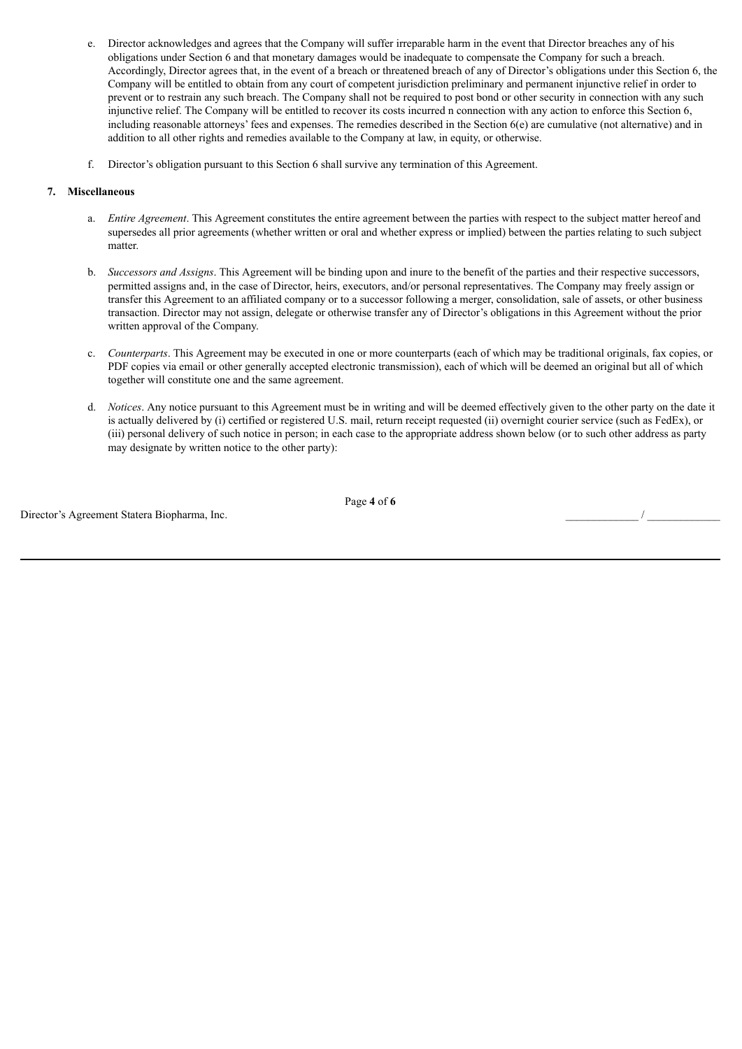- e. Director acknowledges and agrees that the Company will suffer irreparable harm in the event that Director breaches any of his obligations under Section 6 and that monetary damages would be inadequate to compensate the Company for such a breach. Accordingly, Director agrees that, in the event of a breach or threatened breach of any of Director's obligations under this Section 6, the Company will be entitled to obtain from any court of competent jurisdiction preliminary and permanent injunctive relief in order to prevent or to restrain any such breach. The Company shall not be required to post bond or other security in connection with any such injunctive relief. The Company will be entitled to recover its costs incurred n connection with any action to enforce this Section 6, including reasonable attorneys' fees and expenses. The remedies described in the Section  $6(e)$  are cumulative (not alternative) and in addition to all other rights and remedies available to the Company at law, in equity, or otherwise.
- f. Director's obligation pursuant to this Section 6 shall survive any termination of this Agreement.

#### **7. Miscellaneous**

- a. *Entire Agreement*. This Agreement constitutes the entire agreement between the parties with respect to the subject matter hereof and supersedes all prior agreements (whether written or oral and whether express or implied) between the parties relating to such subject matter
- b. *Successors and Assigns*. This Agreement will be binding upon and inure to the benefit of the parties and their respective successors, permitted assigns and, in the case of Director, heirs, executors, and/or personal representatives. The Company may freely assign or transfer this Agreement to an affiliated company or to a successor following a merger, consolidation, sale of assets, or other business transaction. Director may not assign, delegate or otherwise transfer any of Director's obligations in this Agreement without the prior written approval of the Company.
- c. *Counterparts*. This Agreement may be executed in one or more counterparts (each of which may be traditional originals, fax copies, or PDF copies via email or other generally accepted electronic transmission), each of which will be deemed an original but all of which together will constitute one and the same agreement.
- d. *Notices*. Any notice pursuant to this Agreement must be in writing and will be deemed effectively given to the other party on the date it is actually delivered by (i) certified or registered U.S. mail, return receipt requested (ii) overnight courier service (such as FedEx), or (iii) personal delivery of such notice in person; in each case to the appropriate address shown below (or to such other address as party may designate by written notice to the other party):

Director's Agreement Statera Biopharma, Inc.

Page **4** of **6**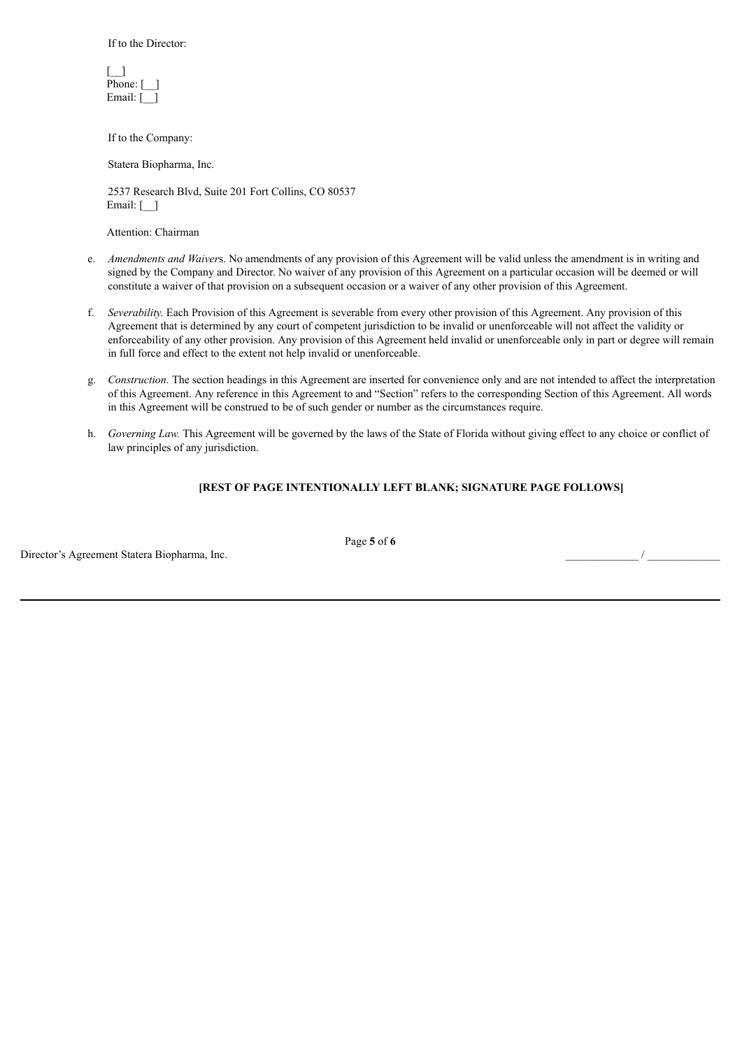If to the Director:

| Phone: |  |
|--------|--|
| Email: |  |

If to the Company:

Statera Biopharma, Inc.

2537 Research Blvd, Suite 201 Fort Collins, CO 80537 Email:  $\lceil \quad \rceil$ 

Attention: Chairman

- e. *Amendments and Waiver*s. No amendments of any provision of this Agreement will be valid unless the amendment is in writing and signed by the Company and Director. No waiver of any provision of this Agreement on a particular occasion will be deemed or will constitute a waiver of that provision on a subsequent occasion or a waiver of any other provision of this Agreement.
- f. *Severability.* Each Provision of this Agreement is severable from every other provision of this Agreement. Any provision of this Agreement that is determined by any court of competent jurisdiction to be invalid or unenforceable will not affect the validity or enforceability of any other provision. Any provision of this Agreement held invalid or unenforceable only in part or degree will remain in full force and effect to the extent not help invalid or unenforceable.
- g. *Construction.* The section headings in this Agreement are inserted for convenience only and are not intended to affect the interpretation of this Agreement. Any reference in this Agreement to and "Section" refers to the corresponding Section of this Agreement. All words in this Agreement will be construed to be of such gender or number as the circumstances require.
- h. *Governing Law.* This Agreement will be governed by the laws of the State of Florida without giving effect to any choice or conflict of law principles of any jurisdiction.

## **[REST OF PAGE INTENTIONALLY LEFT BLANK; SIGNATURE PAGE FOLLOWS]**

Director's Agreement Statera Biopharma, Inc. \_\_\_\_\_\_\_\_\_\_\_\_\_ / \_\_\_\_\_\_\_\_\_\_\_\_\_

Page **5** of **6**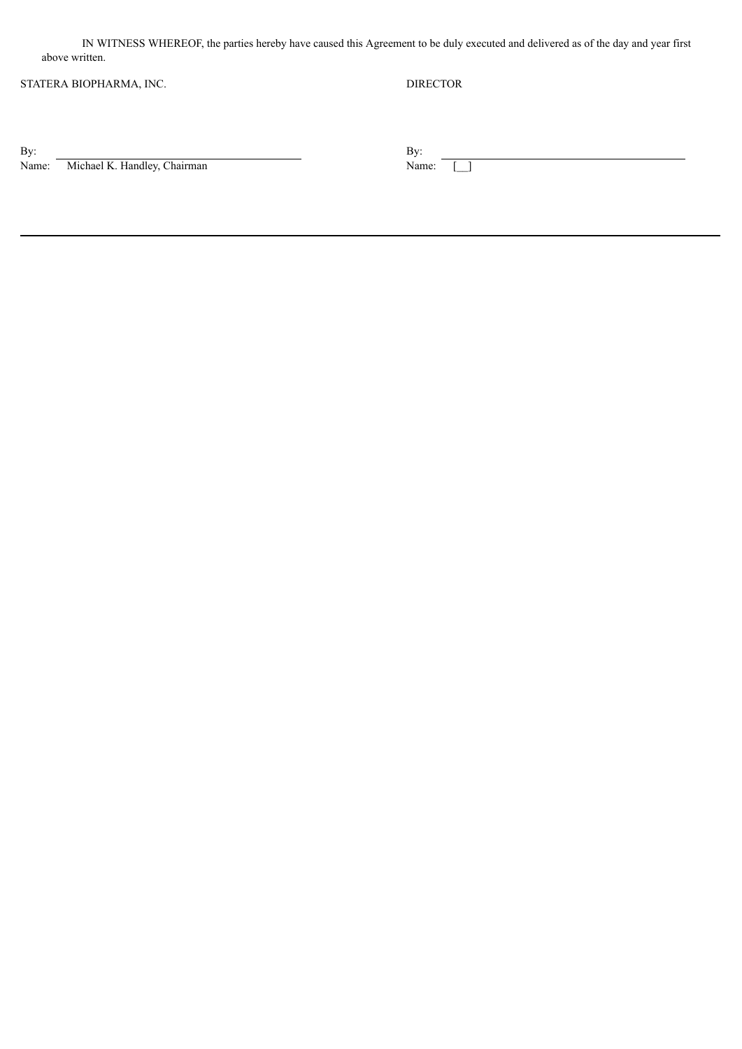IN WITNESS WHEREOF, the parties hereby have caused this Agreement to be duly executed and delivered as of the day and year first above written.

# STATERA BIOPHARMA, INC. DIRECTOR

 $\mathbf{B}$ y:  $\mathbf{B}$ y:

By: By: By: Name: Michael K. Handley, Chairman Name: Name: Name:  $\Box$